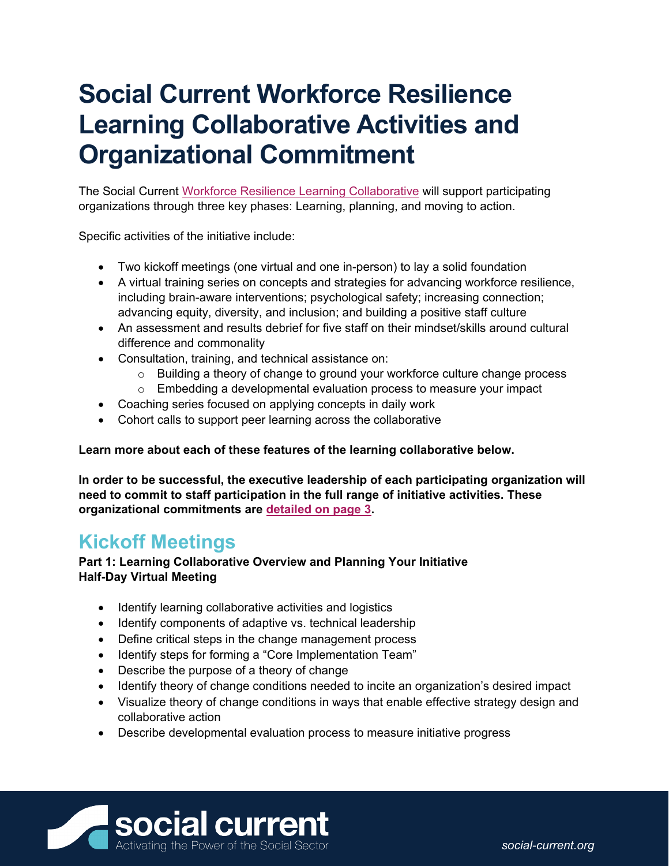# **Social Current Workforce Resilience Learning Collaborative Activities and Organizational Commitment**

The Social Current [Workforce Resilience Learning Collaborative](https://www.social-current.org/2022/05/improve-your-workforce-resilience-through-social-current-learning-collaborative) will support participating organizations through three key phases: Learning, planning, and moving to action.

Specific activities of the initiative include:

- Two kickoff meetings (one virtual and one in-person) to lay a solid foundation
- A virtual training series on concepts and strategies for advancing workforce resilience, including brain-aware interventions; psychological safety; increasing connection; advancing equity, diversity, and inclusion; and building a positive staff culture
- An assessment and results debrief for five staff on their mindset/skills around cultural difference and commonality
- Consultation, training, and technical assistance on:
	- $\circ$  Building a theory of change to ground your workforce culture change process
	- $\circ$  Embedding a developmental evaluation process to measure your impact
- Coaching series focused on applying concepts in daily work
- Cohort calls to support peer learning across the collaborative

#### **Learn more about each of these features of the learning collaborative below.**

**In order to be successful, the executive leadership of each participating organization will need to commit to staff participation in the full range of initiative activities. These organizational commitments are [detailed on page 3.](#page-2-0)** 

### **Kickoff Meetings**

#### **Part 1: Learning Collaborative Overview and Planning Your Initiative Half-Day Virtual Meeting**

- Identify learning collaborative activities and logistics
- Identify components of adaptive vs. technical leadership
- Define critical steps in the change management process
- Identify steps for forming a "Core Implementation Team"
- Describe the purpose of a theory of change
- Identify theory of change conditions needed to incite an organization's desired impact
- Visualize theory of change conditions in ways that enable effective strategy design and collaborative action
- Describe developmental evaluation process to measure initiative progress

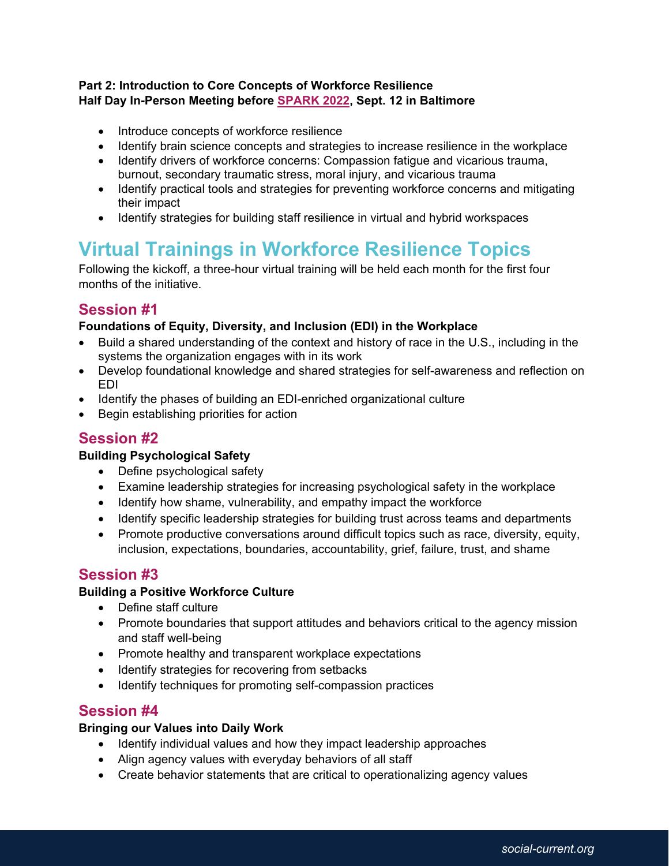#### **Part 2: Introduction to Core Concepts of Workforce Resilience Half Day In-Person Meeting before [SPARK 2022,](https://www.social-current.org/event/spark-2022/) Sept. 12 in Baltimore**

- Introduce concepts of workforce resilience
- Identify brain science concepts and strategies to increase resilience in the workplace
- Identify drivers of workforce concerns: Compassion fatigue and vicarious trauma, burnout, secondary traumatic stress, moral injury, and vicarious trauma
- Identify practical tools and strategies for preventing workforce concerns and mitigating their impact
- Identify strategies for building staff resilience in virtual and hybrid workspaces

# **Virtual Trainings in Workforce Resilience Topics**

Following the kickoff, a three-hour virtual training will be held each month for the first four months of the initiative.

### **Session #1**

#### **Foundations of Equity, Diversity, and Inclusion (EDI) in the Workplace**

- Build a shared understanding of the context and history of race in the U.S., including in the systems the organization engages with in its work
- Develop foundational knowledge and shared strategies for self-awareness and reflection on EDI
- Identify the phases of building an EDI-enriched organizational culture
- Begin establishing priorities for action

### **Session #2**

#### **Building Psychological Safety**

- Define psychological safety
- Examine leadership strategies for increasing psychological safety in the workplace
- Identify how shame, vulnerability, and empathy impact the workforce
- Identify specific leadership strategies for building trust across teams and departments
- Promote productive conversations around difficult topics such as race, diversity, equity, inclusion, expectations, boundaries, accountability, grief, failure, trust, and shame

### **Session #3**

#### **Building a Positive Workforce Culture**

- Define staff culture
- Promote boundaries that support attitudes and behaviors critical to the agency mission and staff well-being
- Promote healthy and transparent workplace expectations
- Identify strategies for recovering from setbacks
- Identify techniques for promoting self-compassion practices

### **Session #4**

#### **Bringing our Values into Daily Work**

- Identify individual values and how they impact leadership approaches
- Align agency values with everyday behaviors of all staff
- Create behavior statements that are critical to operationalizing agency values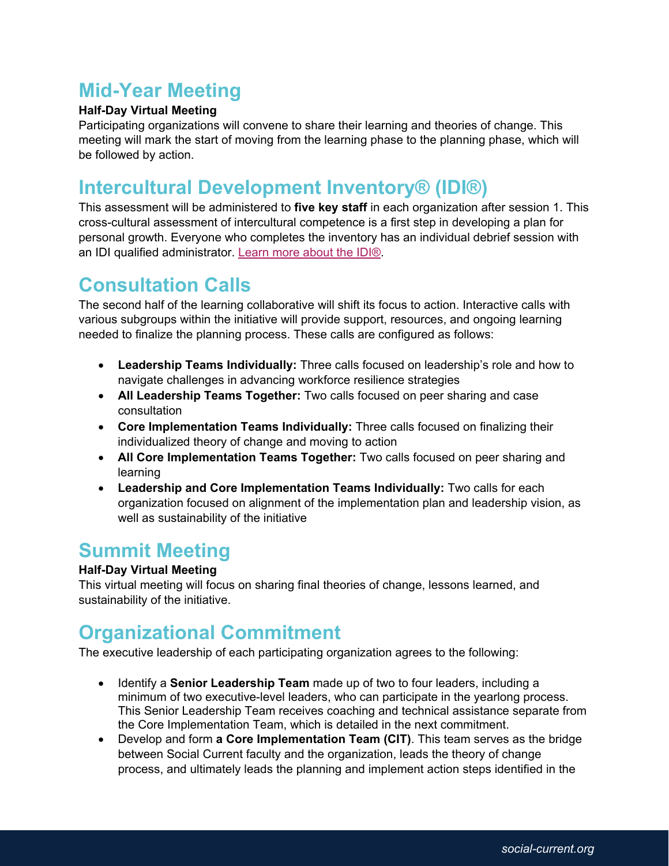# **Mid-Year Meeting**

#### **Half-Day Virtual Meeting**

Participating organizations will convene to share their learning and theories of change. This meeting will mark the start of moving from the learning phase to the planning phase, which will be followed by action.

# **Intercultural Development Inventory® (IDI®)**

This assessment will be administered to **five key staff** in each organization after session 1. This cross-cultural assessment of intercultural competence is a first step in developing a plan for personal growth. Everyone who completes the inventory has an individual debrief session with an IDI qualified administrator. [Learn more about the IDI®.](https://idiinventory.com/)

## **Consultation Calls**

The second half of the learning collaborative will shift its focus to action. Interactive calls with various subgroups within the initiative will provide support, resources, and ongoing learning needed to finalize the planning process. These calls are configured as follows:

- **Leadership Teams Individually:** Three calls focused on leadership's role and how to navigate challenges in advancing workforce resilience strategies
- **All Leadership Teams Together:** Two calls focused on peer sharing and case consultation
- **Core Implementation Teams Individually:** Three calls focused on finalizing their individualized theory of change and moving to action
- **All Core Implementation Teams Together:** Two calls focused on peer sharing and learning
- **Leadership and Core Implementation Teams Individually:** Two calls for each organization focused on alignment of the implementation plan and leadership vision, as well as sustainability of the initiative

### **Summit Meeting**

### **Half-Day Virtual Meeting**

This virtual meeting will focus on sharing final theories of change, lessons learned, and sustainability of the initiative.

# <span id="page-2-0"></span>**Organizational Commitment**

The executive leadership of each participating organization agrees to the following:

- Identify a **Senior Leadership Team** made up of two to four leaders, including a minimum of two executive-level leaders, who can participate in the yearlong process. This Senior Leadership Team receives coaching and technical assistance separate from the Core Implementation Team, which is detailed in the next commitment.
- Develop and form **a Core Implementation Team (CIT)**. This team serves as the bridge between Social Current faculty and the organization, leads the theory of change process, and ultimately leads the planning and implement action steps identified in the